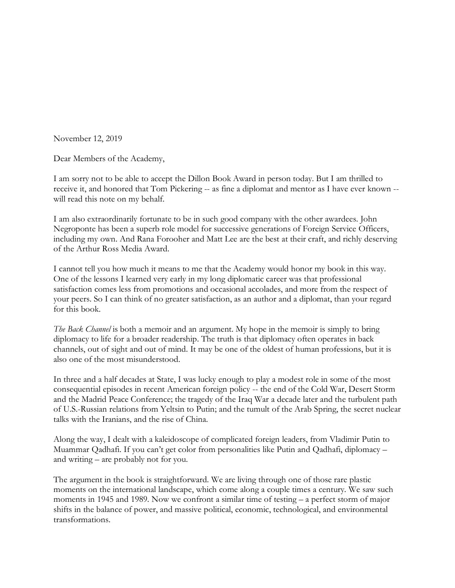November 12, 2019

Dear Members of the Academy,

I am sorry not to be able to accept the Dillon Book Award in person today. But I am thrilled to receive it, and honored that Tom Pickering -- as fine a diplomat and mentor as I have ever known - will read this note on my behalf.

I am also extraordinarily fortunate to be in such good company with the other awardees. John Negroponte has been a superb role model for successive generations of Foreign Service Officers, including my own. And Rana Forooher and Matt Lee are the best at their craft, and richly deserving of the Arthur Ross Media Award.

I cannot tell you how much it means to me that the Academy would honor my book in this way. One of the lessons I learned very early in my long diplomatic career was that professional satisfaction comes less from promotions and occasional accolades, and more from the respect of your peers. So I can think of no greater satisfaction, as an author and a diplomat, than your regard for this book.

*The Back Channel* is both a memoir and an argument. My hope in the memoir is simply to bring diplomacy to life for a broader readership. The truth is that diplomacy often operates in back channels, out of sight and out of mind. It may be one of the oldest of human professions, but it is also one of the most misunderstood.

In three and a half decades at State, I was lucky enough to play a modest role in some of the most consequential episodes in recent American foreign policy -- the end of the Cold War, Desert Storm and the Madrid Peace Conference; the tragedy of the Iraq War a decade later and the turbulent path of U.S.-Russian relations from Yeltsin to Putin; and the tumult of the Arab Spring, the secret nuclear talks with the Iranians, and the rise of China.

Along the way, I dealt with a kaleidoscope of complicated foreign leaders, from Vladimir Putin to Muammar Qadhafi. If you can't get color from personalities like Putin and Qadhafi, diplomacy – and writing – are probably not for you.

The argument in the book is straightforward. We are living through one of those rare plastic moments on the international landscape, which come along a couple times a century. We saw such moments in 1945 and 1989. Now we confront a similar time of testing – a perfect storm of major shifts in the balance of power, and massive political, economic, technological, and environmental transformations.